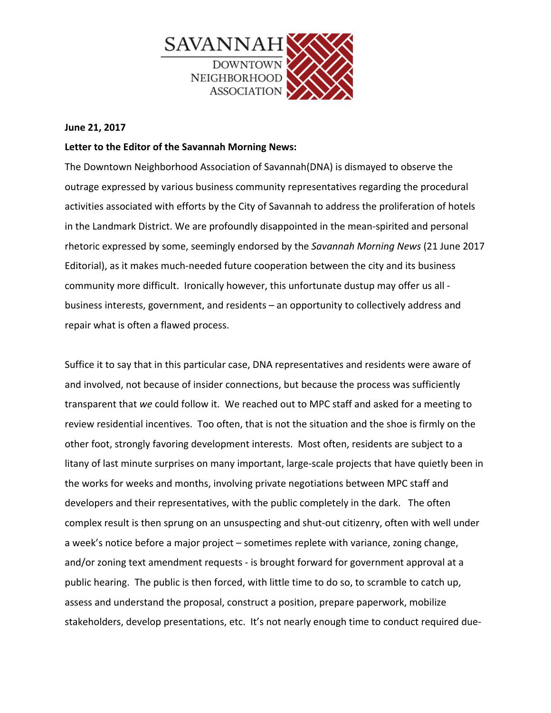

## **June 21, 2017**

## Letter to the Editor of the Savannah Morning News:

The Downtown Neighborhood Association of Savannah(DNA) is dismayed to observe the outrage expressed by various business community representatives regarding the procedural activities associated with efforts by the City of Savannah to address the proliferation of hotels in the Landmark District. We are profoundly disappointed in the mean-spirited and personal rhetoric expressed by some, seemingly endorsed by the *Savannah Morning News* (21 June 2017) Editorial), as it makes much-needed future cooperation between the city and its business community more difficult. Ironically however, this unfortunate dustup may offer us all business interests, government, and residents  $-$  an opportunity to collectively address and repair what is often a flawed process.

Suffice it to say that in this particular case, DNA representatives and residents were aware of and involved, not because of insider connections, but because the process was sufficiently transparent that *we* could follow it. We reached out to MPC staff and asked for a meeting to review residential incentives. Too often, that is not the situation and the shoe is firmly on the other foot, strongly favoring development interests. Most often, residents are subject to a litany of last minute surprises on many important, large-scale projects that have quietly been in the works for weeks and months, involving private negotiations between MPC staff and developers and their representatives, with the public completely in the dark. The often complex result is then sprung on an unsuspecting and shut-out citizenry, often with well under a week's notice before a major project – sometimes replete with variance, zoning change, and/or zoning text amendment requests - is brought forward for government approval at a public hearing. The public is then forced, with little time to do so, to scramble to catch up, assess and understand the proposal, construct a position, prepare paperwork, mobilize stakeholders, develop presentations, etc. It's not nearly enough time to conduct required due